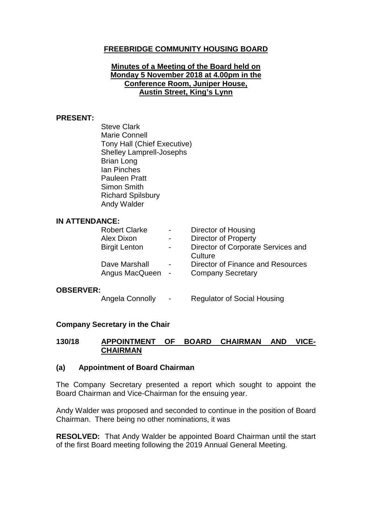# **FREEBRIDGE COMMUNITY HOUSING BOARD**

#### **Minutes of a Meeting of the Board held on Monday 5 November 2018 at 4.00pm in the Conference Room, Juniper House, Austin Street, King's Lynn**

#### **PRESENT:**

Steve Clark Marie Connell Tony Hall (Chief Executive) Shelley Lamprell-Josephs Brian Long Ian Pinches Pauleen Pratt Simon Smith Richard Spilsbury Andy Walder

#### **IN ATTENDANCE:**

| <b>Robert Clarke</b> |                | Director of Housing                |
|----------------------|----------------|------------------------------------|
| Alex Dixon           |                | <b>Director of Property</b>        |
| <b>Birgit Lenton</b> | $\blacksquare$ | Director of Corporate Services and |
|                      |                | Culture                            |
| Dave Marshall        | $\blacksquare$ | Director of Finance and Resources  |
| Angus MacQueen -     |                | <b>Company Secretary</b>           |
|                      |                |                                    |

#### **OBSERVER:**

Angela Connolly - Regulator of Social Housing

#### **Company Secretary in the Chair**

#### **130/18 APPOINTMENT OF BOARD CHAIRMAN AND VICE-CHAIRMAN**

#### **(a) Appointment of Board Chairman**

The Company Secretary presented a report which sought to appoint the Board Chairman and Vice-Chairman for the ensuing year.

Andy Walder was proposed and seconded to continue in the position of Board Chairman. There being no other nominations, it was

**RESOLVED:** That Andy Walder be appointed Board Chairman until the start of the first Board meeting following the 2019 Annual General Meeting.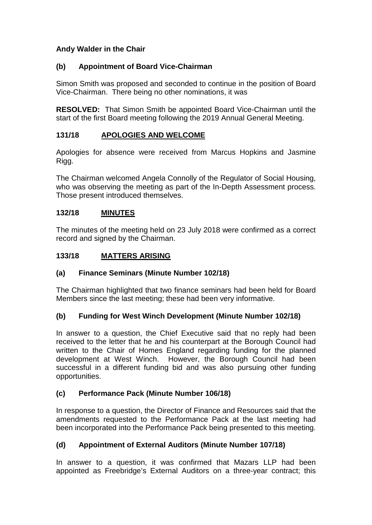# **Andy Walder in the Chair**

# **(b) Appointment of Board Vice-Chairman**

Simon Smith was proposed and seconded to continue in the position of Board Vice-Chairman. There being no other nominations, it was

**RESOLVED:** That Simon Smith be appointed Board Vice-Chairman until the start of the first Board meeting following the 2019 Annual General Meeting.

# **131/18 APOLOGIES AND WELCOME**

Apologies for absence were received from Marcus Hopkins and Jasmine Rigg.

The Chairman welcomed Angela Connolly of the Regulator of Social Housing, who was observing the meeting as part of the In-Depth Assessment process. Those present introduced themselves.

### **132/18 MINUTES**

The minutes of the meeting held on 23 July 2018 were confirmed as a correct record and signed by the Chairman.

### **133/18 MATTERS ARISING**

### **(a) Finance Seminars (Minute Number 102/18)**

The Chairman highlighted that two finance seminars had been held for Board Members since the last meeting; these had been very informative.

### **(b) Funding for West Winch Development (Minute Number 102/18)**

In answer to a question, the Chief Executive said that no reply had been received to the letter that he and his counterpart at the Borough Council had written to the Chair of Homes England regarding funding for the planned development at West Winch. However, the Borough Council had been successful in a different funding bid and was also pursuing other funding opportunities.

### **(c) Performance Pack (Minute Number 106/18)**

In response to a question, the Director of Finance and Resources said that the amendments requested to the Performance Pack at the last meeting had been incorporated into the Performance Pack being presented to this meeting.

### **(d) Appointment of External Auditors (Minute Number 107/18)**

In answer to a question, it was confirmed that Mazars LLP had been appointed as Freebridge's External Auditors on a three-year contract; this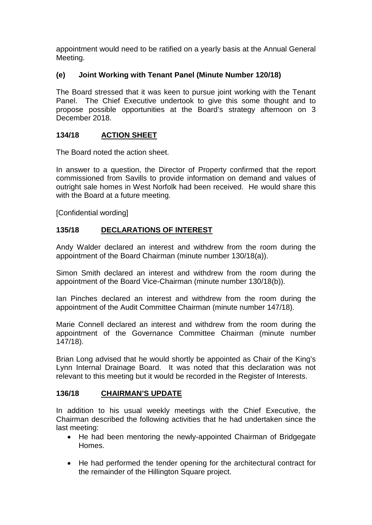appointment would need to be ratified on a yearly basis at the Annual General Meeting.

# **(e) Joint Working with Tenant Panel (Minute Number 120/18)**

The Board stressed that it was keen to pursue joint working with the Tenant Panel. The Chief Executive undertook to give this some thought and to propose possible opportunities at the Board's strategy afternoon on 3 December 2018.

### **134/18 ACTION SHEET**

The Board noted the action sheet.

In answer to a question, the Director of Property confirmed that the report commissioned from Savills to provide information on demand and values of outright sale homes in West Norfolk had been received. He would share this with the Board at a future meeting.

[Confidential wording]

### **135/18 DECLARATIONS OF INTEREST**

Andy Walder declared an interest and withdrew from the room during the appointment of the Board Chairman (minute number 130/18(a)).

Simon Smith declared an interest and withdrew from the room during the appointment of the Board Vice-Chairman (minute number 130/18(b)).

Ian Pinches declared an interest and withdrew from the room during the appointment of the Audit Committee Chairman (minute number 147/18).

Marie Connell declared an interest and withdrew from the room during the appointment of the Governance Committee Chairman (minute number 147/18).

Brian Long advised that he would shortly be appointed as Chair of the King's Lynn Internal Drainage Board. It was noted that this declaration was not relevant to this meeting but it would be recorded in the Register of Interests.

#### **136/18 CHAIRMAN'S UPDATE**

In addition to his usual weekly meetings with the Chief Executive, the Chairman described the following activities that he had undertaken since the last meeting:

- He had been mentoring the newly-appointed Chairman of Bridgegate Homes.
- He had performed the tender opening for the architectural contract for the remainder of the Hillington Square project.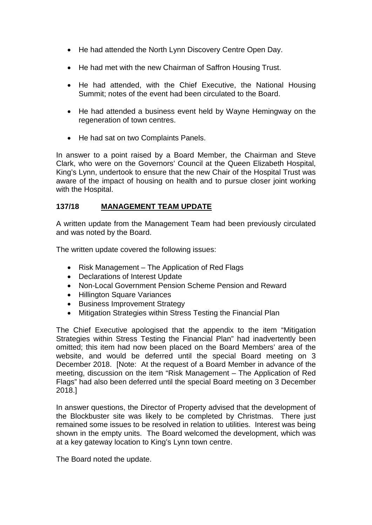- He had attended the North Lynn Discovery Centre Open Day.
- He had met with the new Chairman of Saffron Housing Trust.
- He had attended, with the Chief Executive, the National Housing Summit; notes of the event had been circulated to the Board.
- He had attended a business event held by Wayne Hemingway on the regeneration of town centres.
- He had sat on two Complaints Panels.

In answer to a point raised by a Board Member, the Chairman and Steve Clark, who were on the Governors' Council at the Queen Elizabeth Hospital, King's Lynn, undertook to ensure that the new Chair of the Hospital Trust was aware of the impact of housing on health and to pursue closer joint working with the Hospital.

#### **137/18 MANAGEMENT TEAM UPDATE**

A written update from the Management Team had been previously circulated and was noted by the Board.

The written update covered the following issues:

- Risk Management The Application of Red Flags
- Declarations of Interest Update
- Non-Local Government Pension Scheme Pension and Reward
- Hillington Square Variances
- Business Improvement Strategy
- Mitigation Strategies within Stress Testing the Financial Plan

The Chief Executive apologised that the appendix to the item "Mitigation Strategies within Stress Testing the Financial Plan" had inadvertently been omitted; this item had now been placed on the Board Members' area of the website, and would be deferred until the special Board meeting on 3 December 2018. [Note: At the request of a Board Member in advance of the meeting, discussion on the item "Risk Management – The Application of Red Flags" had also been deferred until the special Board meeting on 3 December 2018.]

In answer questions, the Director of Property advised that the development of the Blockbuster site was likely to be completed by Christmas. There just remained some issues to be resolved in relation to utilities. Interest was being shown in the empty units. The Board welcomed the development, which was at a key gateway location to King's Lynn town centre.

The Board noted the update.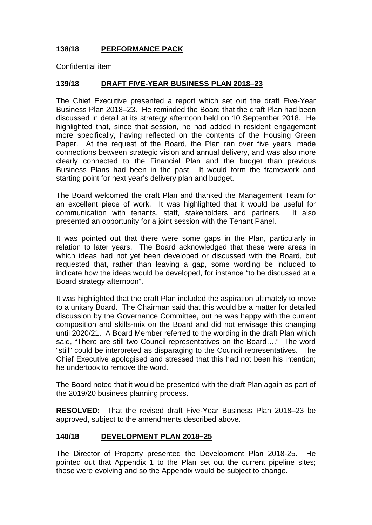# **138/18 PERFORMANCE PACK**

Confidential item

#### **139/18 DRAFT FIVE-YEAR BUSINESS PLAN 2018–23**

The Chief Executive presented a report which set out the draft Five-Year Business Plan 2018–23. He reminded the Board that the draft Plan had been discussed in detail at its strategy afternoon held on 10 September 2018. He highlighted that, since that session, he had added in resident engagement more specifically, having reflected on the contents of the Housing Green Paper. At the request of the Board, the Plan ran over five years, made connections between strategic vision and annual delivery, and was also more clearly connected to the Financial Plan and the budget than previous Business Plans had been in the past. It would form the framework and starting point for next year's delivery plan and budget.

The Board welcomed the draft Plan and thanked the Management Team for an excellent piece of work. It was highlighted that it would be useful for communication with tenants, staff, stakeholders and partners. It also presented an opportunity for a joint session with the Tenant Panel.

It was pointed out that there were some gaps in the Plan, particularly in relation to later years. The Board acknowledged that these were areas in which ideas had not yet been developed or discussed with the Board, but requested that, rather than leaving a gap, some wording be included to indicate how the ideas would be developed, for instance "to be discussed at a Board strategy afternoon".

It was highlighted that the draft Plan included the aspiration ultimately to move to a unitary Board. The Chairman said that this would be a matter for detailed discussion by the Governance Committee, but he was happy with the current composition and skills-mix on the Board and did not envisage this changing until 2020/21. A Board Member referred to the wording in the draft Plan which said, "There are still two Council representatives on the Board…." The word "still" could be interpreted as disparaging to the Council representatives. The Chief Executive apologised and stressed that this had not been his intention; he undertook to remove the word.

The Board noted that it would be presented with the draft Plan again as part of the 2019/20 business planning process.

**RESOLVED:** That the revised draft Five-Year Business Plan 2018–23 be approved, subject to the amendments described above.

#### **140/18 DEVELOPMENT PLAN 2018–25**

The Director of Property presented the Development Plan 2018-25. He pointed out that Appendix 1 to the Plan set out the current pipeline sites; these were evolving and so the Appendix would be subject to change.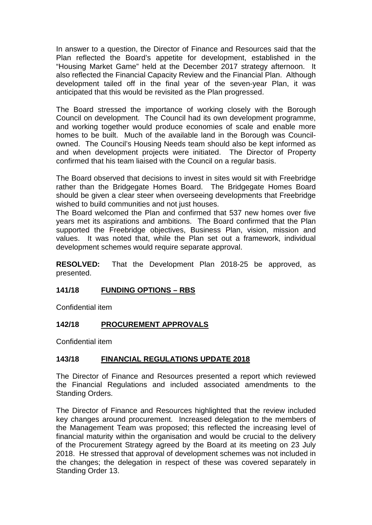In answer to a question, the Director of Finance and Resources said that the Plan reflected the Board's appetite for development, established in the "Housing Market Game" held at the December 2017 strategy afternoon. It also reflected the Financial Capacity Review and the Financial Plan. Although development tailed off in the final year of the seven-year Plan, it was anticipated that this would be revisited as the Plan progressed.

The Board stressed the importance of working closely with the Borough Council on development. The Council had its own development programme, and working together would produce economies of scale and enable more homes to be built. Much of the available land in the Borough was Councilowned. The Council's Housing Needs team should also be kept informed as and when development projects were initiated. The Director of Property confirmed that his team liaised with the Council on a regular basis.

The Board observed that decisions to invest in sites would sit with Freebridge rather than the Bridgegate Homes Board. The Bridgegate Homes Board should be given a clear steer when overseeing developments that Freebridge wished to build communities and not just houses.

The Board welcomed the Plan and confirmed that 537 new homes over five years met its aspirations and ambitions. The Board confirmed that the Plan supported the Freebridge objectives, Business Plan, vision, mission and values. It was noted that, while the Plan set out a framework, individual development schemes would require separate approval.

**RESOLVED:** That the Development Plan 2018-25 be approved, as presented.

#### **141/18 FUNDING OPTIONS – RBS**

Confidential item

#### **142/18 PROCUREMENT APPROVALS**

Confidential item

#### **143/18 FINANCIAL REGULATIONS UPDATE 2018**

The Director of Finance and Resources presented a report which reviewed the Financial Regulations and included associated amendments to the Standing Orders.

The Director of Finance and Resources highlighted that the review included key changes around procurement. Increased delegation to the members of the Management Team was proposed; this reflected the increasing level of financial maturity within the organisation and would be crucial to the delivery of the Procurement Strategy agreed by the Board at its meeting on 23 July 2018. He stressed that approval of development schemes was not included in the changes; the delegation in respect of these was covered separately in Standing Order 13.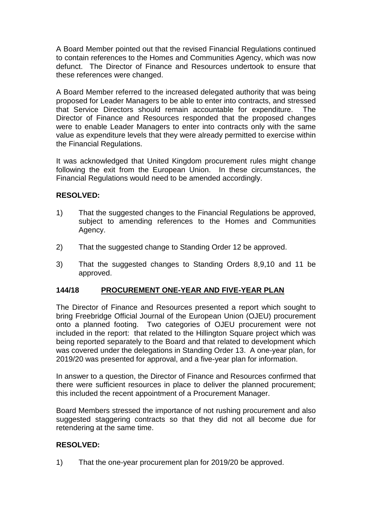A Board Member pointed out that the revised Financial Regulations continued to contain references to the Homes and Communities Agency, which was now defunct. The Director of Finance and Resources undertook to ensure that these references were changed.

A Board Member referred to the increased delegated authority that was being proposed for Leader Managers to be able to enter into contracts, and stressed that Service Directors should remain accountable for expenditure. The Director of Finance and Resources responded that the proposed changes were to enable Leader Managers to enter into contracts only with the same value as expenditure levels that they were already permitted to exercise within the Financial Regulations.

It was acknowledged that United Kingdom procurement rules might change following the exit from the European Union. In these circumstances, the Financial Regulations would need to be amended accordingly.

### **RESOLVED:**

- 1) That the suggested changes to the Financial Regulations be approved, subject to amending references to the Homes and Communities Agency.
- 2) That the suggested change to Standing Order 12 be approved.
- 3) That the suggested changes to Standing Orders 8,9,10 and 11 be approved.

#### **144/18 PROCUREMENT ONE-YEAR AND FIVE-YEAR PLAN**

The Director of Finance and Resources presented a report which sought to bring Freebridge Official Journal of the European Union (OJEU) procurement onto a planned footing. Two categories of OJEU procurement were not included in the report: that related to the Hillington Square project which was being reported separately to the Board and that related to development which was covered under the delegations in Standing Order 13. A one-year plan, for 2019/20 was presented for approval, and a five-year plan for information.

In answer to a question, the Director of Finance and Resources confirmed that there were sufficient resources in place to deliver the planned procurement; this included the recent appointment of a Procurement Manager.

Board Members stressed the importance of not rushing procurement and also suggested staggering contracts so that they did not all become due for retendering at the same time.

### **RESOLVED:**

1) That the one-year procurement plan for 2019/20 be approved.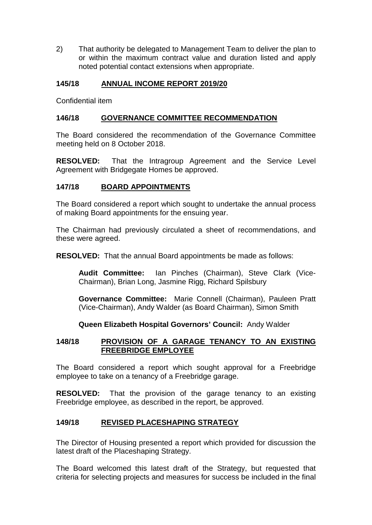2) That authority be delegated to Management Team to deliver the plan to or within the maximum contract value and duration listed and apply noted potential contact extensions when appropriate.

### **145/18 ANNUAL INCOME REPORT 2019/20**

Confidential item

#### **146/18 GOVERNANCE COMMITTEE RECOMMENDATION**

The Board considered the recommendation of the Governance Committee meeting held on 8 October 2018.

**RESOLVED:** That the Intragroup Agreement and the Service Level Agreement with Bridgegate Homes be approved.

#### **147/18 BOARD APPOINTMENTS**

The Board considered a report which sought to undertake the annual process of making Board appointments for the ensuing year.

The Chairman had previously circulated a sheet of recommendations, and these were agreed.

**RESOLVED:** That the annual Board appointments be made as follows:

**Audit Committee:** Ian Pinches (Chairman), Steve Clark (Vice-Chairman), Brian Long, Jasmine Rigg, Richard Spilsbury

**Governance Committee:** Marie Connell (Chairman), Pauleen Pratt (Vice-Chairman), Andy Walder (as Board Chairman), Simon Smith

**Queen Elizabeth Hospital Governors' Council:** Andy Walder

#### **148/18 PROVISION OF A GARAGE TENANCY TO AN EXISTING FREEBRIDGE EMPLOYEE**

The Board considered a report which sought approval for a Freebridge employee to take on a tenancy of a Freebridge garage.

**RESOLVED:** That the provision of the garage tenancy to an existing Freebridge employee, as described in the report, be approved.

#### **149/18 REVISED PLACESHAPING STRATEGY**

The Director of Housing presented a report which provided for discussion the latest draft of the Placeshaping Strategy.

The Board welcomed this latest draft of the Strategy, but requested that criteria for selecting projects and measures for success be included in the final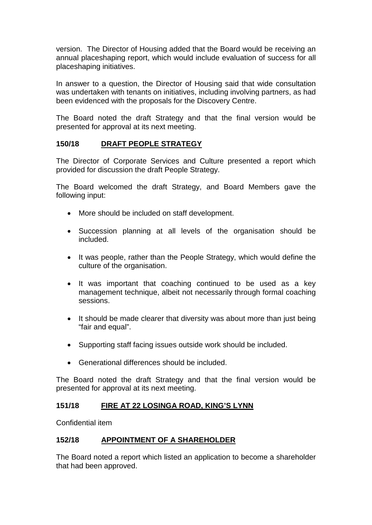version. The Director of Housing added that the Board would be receiving an annual placeshaping report, which would include evaluation of success for all placeshaping initiatives.

In answer to a question, the Director of Housing said that wide consultation was undertaken with tenants on initiatives, including involving partners, as had been evidenced with the proposals for the Discovery Centre.

The Board noted the draft Strategy and that the final version would be presented for approval at its next meeting.

### **150/18 DRAFT PEOPLE STRATEGY**

The Director of Corporate Services and Culture presented a report which provided for discussion the draft People Strategy.

The Board welcomed the draft Strategy, and Board Members gave the following input:

- More should be included on staff development.
- Succession planning at all levels of the organisation should be included.
- It was people, rather than the People Strategy, which would define the culture of the organisation.
- It was important that coaching continued to be used as a key management technique, albeit not necessarily through formal coaching sessions.
- It should be made clearer that diversity was about more than just being "fair and equal".
- Supporting staff facing issues outside work should be included.
- Generational differences should be included.

The Board noted the draft Strategy and that the final version would be presented for approval at its next meeting.

#### **151/18 FIRE AT 22 LOSINGA ROAD, KING'S LYNN**

Confidential item

#### **152/18 APPOINTMENT OF A SHAREHOLDER**

The Board noted a report which listed an application to become a shareholder that had been approved.